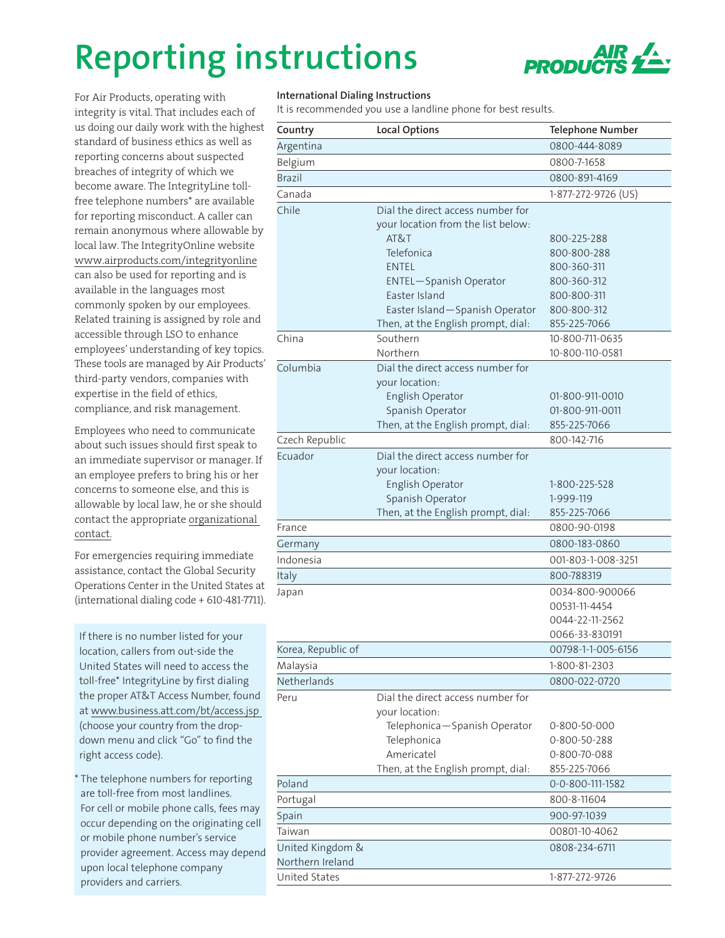## **Reporting instructions**



For Air Products, operating with integrity is vital. That includes each of us doing our daily work with the highest standard of business ethics as well as reporting concerns about suspected breaches of integrity of which we become aware. The IntegrityLine tollfree telephone numbers\* are available for reporting misconduct. A caller can remain anonymous where allowable by local law. The IntegrityOnline website [www.airproducts.com/integrityonline](http://www.airproducts.com/integrityonline) can also be used for reporting and is available in the languages most commonly spoken by our employees. Related training is assigned by role and accessible through LSO to enhance employees' understanding of key topics. These tools are managed by Air Products' third-party vendors, companies with expertise in the field of ethics, compliance, and risk management.

Employees who need to communicate about such issues should first speak to an immediate supervisor or manager. If an employee prefers to bring his or her concerns to someone else, and this is allowable by local law, he or she should contact the appropriate [organizational](http://www.airproducts.com/company/governance/commitment-ethical-business/~/media/Files/PDF/company/c-of-c-contact-information.pdf)  [contact.](http://www.airproducts.com/company/governance/commitment-ethical-business/~/media/Files/PDF/company/c-of-c-contact-information.pdf)

For emergencies requiring immediate assistance, contact the Global Security Operations Center in the United States at (international dialing code + 610-481-7711).

If there is no number listed for your location, callers from out-side the United States will need to access the toll-free\* IntegrityLine by first dialing the proper AT&T Access Number, found at [www.business.att.com/bt/access.jsp](http://www.business.att.com/bt/access.jsp ) (choose your country from the dropdown menu and click "Go" to find the right access code).

\* The telephone numbers for reporting are toll-free from most landlines. For cell or mobile phone calls, fees may occur depending on the originating cell or mobile phone number's service provider agreement. Access may depend upon local telephone company providers and carriers.

## **International Dialing Instructions**

It is recommended you use a landline phone for best results.

| Country            | <b>Local Options</b>                            | <b>Telephone Number</b>          |
|--------------------|-------------------------------------------------|----------------------------------|
| Argentina          |                                                 | 0800-444-8089                    |
| Belgium            |                                                 | 0800-7-1658                      |
| <b>Brazil</b>      |                                                 | 0800-891-4169                    |
| Canada             |                                                 | 1-877-272-9726 (US)              |
| Chile              | Dial the direct access number for               |                                  |
|                    | your location from the list below:              |                                  |
|                    | AT&T                                            | 800-225-288                      |
|                    | Telefonica                                      | 800-800-288                      |
|                    | <b>ENTEL</b>                                    | 800-360-311                      |
|                    | <b>ENTEL-Spanish Operator</b>                   | 800-360-312                      |
|                    | Easter Island<br>Easter Island-Spanish Operator | 800-800-311<br>800-800-312       |
|                    | Then, at the English prompt, dial:              | 855-225-7066                     |
| China              | Southern                                        | 10-800-711-0635                  |
|                    | Northern                                        | 10-800-110-0581                  |
| Columbia           | Dial the direct access number for               |                                  |
|                    | your location:                                  |                                  |
|                    | English Operator                                | 01-800-911-0010                  |
|                    | Spanish Operator                                | 01-800-911-0011                  |
|                    | Then, at the English prompt, dial:              | 855-225-7066                     |
| Czech Republic     |                                                 | 800-142-716                      |
| Ecuador            | Dial the direct access number for               |                                  |
|                    | your location:                                  |                                  |
|                    | English Operator                                | 1-800-225-528                    |
|                    | Spanish Operator                                | 1-999-119                        |
|                    | Then, at the English prompt, dial:              | 855-225-7066                     |
| France             |                                                 | 0800-90-0198                     |
| Germany            |                                                 | 0800-183-0860                    |
| Indonesia          |                                                 | 001-803-1-008-3251               |
| Italy              |                                                 | 800-788319                       |
| Japan              |                                                 | 0034-800-900066                  |
|                    |                                                 | 00531-11-4454<br>0044-22-11-2562 |
|                    |                                                 | 0066-33-830191                   |
| Korea, Republic of |                                                 | 00798-1-1-005-6156               |
| Malaysia           |                                                 | 1-800-81-2303                    |
| Netherlands        |                                                 | 0800-022-0720                    |
| Peru               | Dial the direct access number for               |                                  |
|                    | your location:                                  |                                  |
|                    | Telephonica-Spanish Operator                    | 0-800-50-000                     |
|                    | Telephonica                                     | 0-800-50-288                     |
|                    | Americatel                                      | 0-800-70-088                     |
|                    | Then, at the English prompt, dial:              | 855-225-7066                     |
| Poland             |                                                 | 0-0-800-111-1582                 |
| Portugal           |                                                 | 800-8-11604                      |
| Spain              |                                                 | 900-97-1039                      |
| Taiwan             |                                                 | 00801-10-4062                    |
| United Kingdom &   |                                                 | 0808-234-6711                    |
| Northern Ireland   |                                                 |                                  |
| United States      |                                                 | 1-877-272-9726                   |